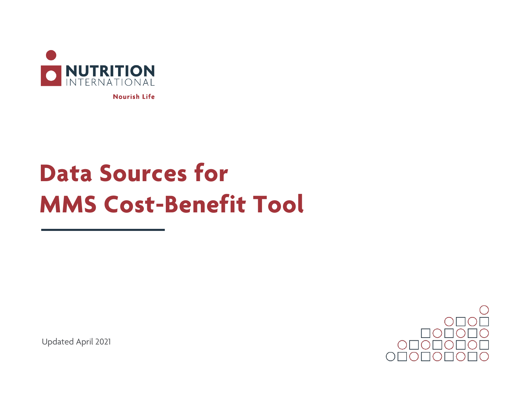

**Nourish Life** 

## **Data Sources for MMS Cost-Benefit Tool**

Updated April 2021

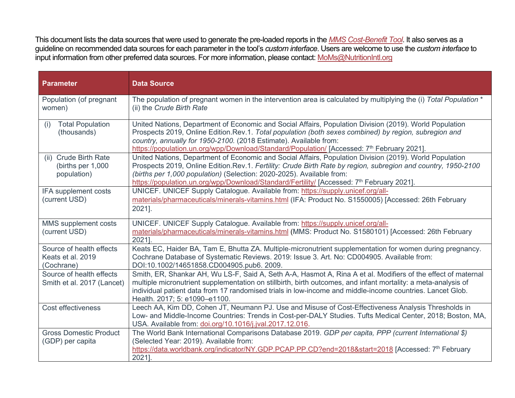This document lists the data sources that were used to generate the pre-loaded reports in the *[MMS Cost-Benefit Tool](http://www.nutritionintl.org/mms-cost-benefit-tool/)*. It also serves as a guideline on recommended data sources for each parameter in the tool's *custom interface*. Users are welcome to use the *custom interface* to input information from other preferred data sources. For more information, please contact: MoMs@NutritionIntl.org

| <b>Parameter</b>                                            | <b>Data Source</b>                                                                                                                                                                                                                                                                                                                                                                                         |
|-------------------------------------------------------------|------------------------------------------------------------------------------------------------------------------------------------------------------------------------------------------------------------------------------------------------------------------------------------------------------------------------------------------------------------------------------------------------------------|
| Population (of pregnant<br>women)                           | The population of pregnant women in the intervention area is calculated by multiplying the (i) Total Population *<br>(ii) the Crude Birth Rate                                                                                                                                                                                                                                                             |
| <b>Total Population</b><br>(i)<br>(thousands)               | United Nations, Department of Economic and Social Affairs, Population Division (2019). World Population<br>Prospects 2019, Online Edition.Rev.1. Total population (both sexes combined) by region, subregion and<br>country, annually for 1950-2100. (2018 Estimate). Available from:<br>https://population.un.org/wpp/Download/Standard/Population/ [Accessed: 7 <sup>th</sup> February 2021].            |
| (ii) Crude Birth Rate<br>(births per 1,000)<br>population)  | United Nations, Department of Economic and Social Affairs, Population Division (2019). World Population<br>Prospects 2019, Online Edition.Rev.1. Fertility: Crude Birth Rate by region, subregion and country, 1950-2100<br>(births per 1,000 population) (Selection: 2020-2025). Available from:<br>https://population.un.org/wpp/Download/Standard/Fertility/ [Accessed: 7 <sup>th</sup> February 2021]. |
| IFA supplement costs<br>(current USD)                       | UNICEF. UNICEF Supply Catalogue. Available from: https://supply.unicef.org/all-<br>materials/pharmaceuticals/minerals-vitamins.html (IFA: Product No. S1550005) [Accessed: 26th February<br>2021].                                                                                                                                                                                                         |
| MMS supplement costs<br>(current USD)                       | UNICEF. UNICEF Supply Catalogue. Available from: https://supply.unicef.org/all-<br>materials/pharmaceuticals/minerals-vitamins.html (MMS: Product No. S1580101) [Accessed: 26th February<br>2021].                                                                                                                                                                                                         |
| Source of health effects<br>Keats et al. 2019<br>(Cochrane) | Keats EC, Haider BA, Tam E, Bhutta ZA. Multiple-micronutrient supplementation for women during pregnancy.<br>Cochrane Database of Systematic Reviews. 2019: Issue 3. Art. No: CD004905. Available from:<br>DOI:10.1002/14651858.CD004905.pub6. 2009.                                                                                                                                                       |
| Source of health effects<br>Smith et al. 2017 (Lancet)      | Smith, ER, Shankar AH, Wu LS-F, Said A, Seth A-A, Hasmot A, Rina A et al. Modifiers of the effect of maternal<br>multiple micronutrient supplementation on stillbirth, birth outcomes, and infant mortality: a meta-analysis of<br>individual patient data from 17 randomised trials in low-income and middle-income countries. Lancet Glob.<br>Health. 2017; 5: e1090-e1100.                              |
| Cost effectiveness                                          | Leech AA, Kim DD, Cohen JT, Neumann PJ. Use and Misuse of Cost-Effectiveness Analysis Thresholds in<br>Low- and Middle-Income Countries: Trends in Cost-per-DALY Studies. Tufts Medical Center, 2018; Boston, MA,<br>USA. Available from: doi.org/10.1016/j.jval.2017.12.016.                                                                                                                              |
| <b>Gross Domestic Product</b><br>(GDP) per capita           | The World Bank International Comparisons Database 2019. GDP per capita, PPP (current International \$)<br>(Selected Year: 2019). Available from:<br>https://data.worldbank.org/indicator/NY.GDP.PCAP.PP.CD?end=2018&start=2018 [Accessed: 7th February<br>2021].                                                                                                                                           |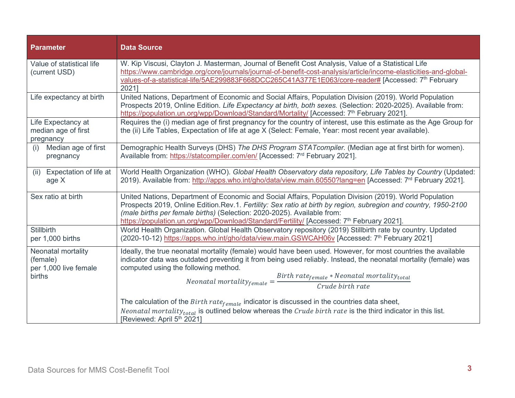| <b>Parameter</b>                                                  | <b>Data Source</b>                                                                                                                                                                                                                                                                                                                                                                                             |
|-------------------------------------------------------------------|----------------------------------------------------------------------------------------------------------------------------------------------------------------------------------------------------------------------------------------------------------------------------------------------------------------------------------------------------------------------------------------------------------------|
| Value of statistical life<br>(current USD)                        | W. Kip Viscusi, Clayton J. Masterman, Journal of Benefit Cost Analysis, Value of a Statistical Life<br>https://www.cambridge.org/core/journals/journal-of-benefit-cost-analysis/article/income-elasticities-and-global-<br>values-of-a-statistical-life/5AE299883F668DCC265C41A377E1E063/core-reader# [Accessed: 7th February<br>20211                                                                         |
| Life expectancy at birth                                          | United Nations, Department of Economic and Social Affairs, Population Division (2019). World Population<br>Prospects 2019, Online Edition. Life Expectancy at birth, both sexes. (Selection: 2020-2025). Available from:<br>https://population.un.org/wpp/Download/Standard/Mortality/ [Accessed: 7 <sup>th</sup> February 2021].                                                                              |
| Life Expectancy at<br>median age of first<br>pregnancy            | Requires the (i) median age of first pregnancy for the country of interest, use this estimate as the Age Group for<br>the (ii) Life Tables, Expectation of life at age X (Select: Female, Year: most recent year available).                                                                                                                                                                                   |
| Median age of first<br>(i)<br>pregnancy                           | Demographic Health Surveys (DHS) The DHS Program STATcompiler. (Median age at first birth for women).<br>Available from: https://statcompiler.com/en/ [Accessed: 7 <sup>rd</sup> February 2021].                                                                                                                                                                                                               |
| (ii) Expectation of life at<br>age X                              | World Health Organization (WHO). Global Health Observatory data repository, Life Tables by Country (Updated:<br>2019). Available from: http://apps.who.int/gho/data/view.main.60550?lang=en [Accessed: 7 <sup>rd</sup> February 2021].                                                                                                                                                                         |
| Sex ratio at birth                                                | United Nations, Department of Economic and Social Affairs, Population Division (2019). World Population<br>Prospects 2019, Online Edition.Rev.1. Fertility: Sex ratio at birth by region, subregion and country, 1950-2100<br>(male births per female births) (Selection: 2020-2025). Available from:<br>https://population.un.org/wpp/Download/Standard/Fertility/ [Accessed: 7 <sup>th</sup> February 2021]. |
| <b>Stillbirth</b><br>per 1,000 births                             | World Health Organization. Global Health Observatory repository (2019) Stillbirth rate by country. Updated<br>(2020-10-12) https://apps.who.int/gho/data/view.main.GSWCAH06v [Accessed: 7 <sup>th</sup> February 2021]                                                                                                                                                                                         |
| Neonatal mortality<br>(female)<br>per 1,000 live female<br>births | Ideally, the true neonatal mortality (female) would have been used. However, for most countries the available<br>indicator data was outdated preventing it from being used reliably. Instead, the neonatal mortality (female) was<br>computed using the following method.<br>$\label{eq:recon} Neonatal\,mortality_{female} = \frac{Birth\,rate_{female}*Neonatal\,mortality_{total}}{Cruda\,birth\,rate}$     |
|                                                                   | The calculation of the $Birth\ rate_{female}$ indicator is discussed in the countries data sheet,<br><i>Neonatal mortality<sub>total</sub></i> is outlined below whereas the <i>Crude birth rate</i> is the third indicator in this list.<br>[Reviewed: April 5 <sup>th</sup> 2021]                                                                                                                            |